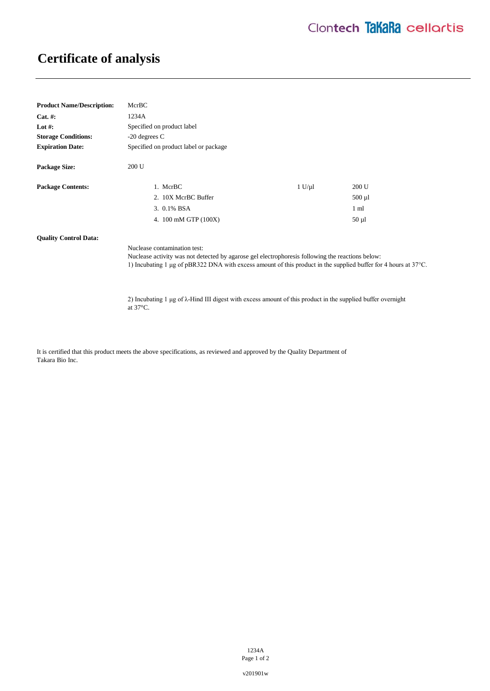## **Certificate of analysis**

| <b>Product Name/Description:</b> | McrBC                                                                                                                                                                                                                                                    |             |                 |
|----------------------------------|----------------------------------------------------------------------------------------------------------------------------------------------------------------------------------------------------------------------------------------------------------|-------------|-----------------|
| $Cat. \#:$                       | 1234A                                                                                                                                                                                                                                                    |             |                 |
| Lot $#$ :                        | Specified on product label                                                                                                                                                                                                                               |             |                 |
| <b>Storage Conditions:</b>       | $-20$ degrees C                                                                                                                                                                                                                                          |             |                 |
| <b>Expiration Date:</b>          | Specified on product label or package                                                                                                                                                                                                                    |             |                 |
| Package Size:                    | 200 U                                                                                                                                                                                                                                                    |             |                 |
| <b>Package Contents:</b>         | 1. McrBC                                                                                                                                                                                                                                                 | $1 U/\mu 1$ | 200 U           |
|                                  | 2. 10X McrBC Buffer                                                                                                                                                                                                                                      |             | $500 \mu l$     |
|                                  | 3. 0.1% BSA                                                                                                                                                                                                                                              |             | 1 <sub>m1</sub> |
|                                  | 4. 100 mM GTP (100X)                                                                                                                                                                                                                                     |             | $50 \mu l$      |
| <b>Ouality Control Data:</b>     |                                                                                                                                                                                                                                                          |             |                 |
|                                  | Nuclease contamination test:<br>Nuclease activity was not detected by agarose gel electrophoresis following the reactions below:<br>1) Incubating 1 $\mu$ g of pBR322 DNA with excess amount of this product in the supplied buffer for 4 hours at 37°C. |             |                 |
|                                  |                                                                                                                                                                                                                                                          |             |                 |

2) Incubating 1 μg of λ-Hind III digest with excess amount of this product in the supplied buffer overnight at 37°C.

It is certified that this product meets the above specifications, as reviewed and approved by the Quality Department of Takara Bio Inc.

> 1234A Page 1 of 2

v201901w